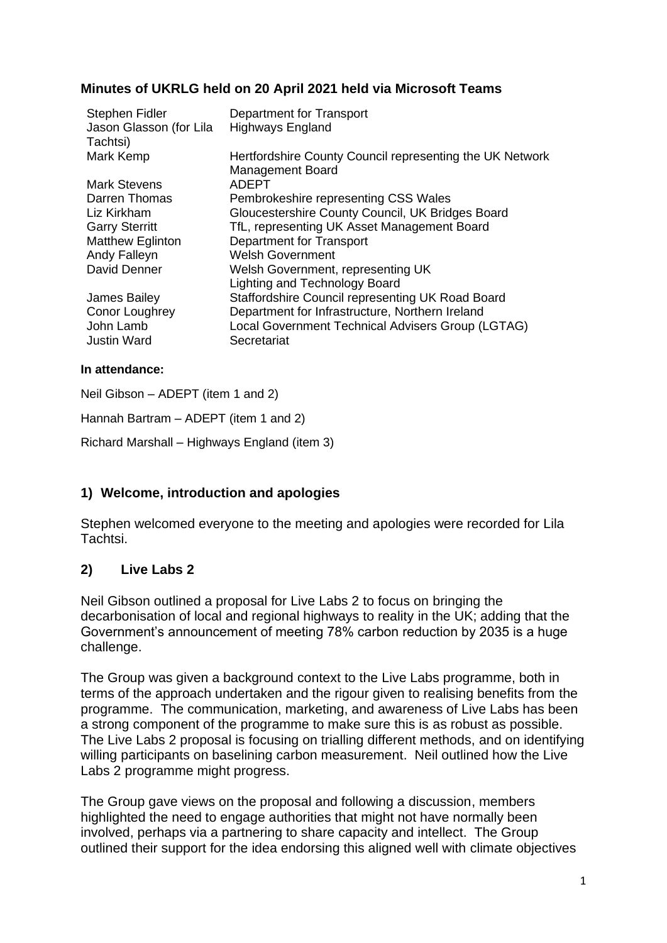## **Minutes of UKRLG held on 20 April 2021 held via Microsoft Teams**

| Stephen Fidler<br>Jason Glasson (for Lila<br>Tachtsi) | Department for Transport<br><b>Highways England</b>                                 |
|-------------------------------------------------------|-------------------------------------------------------------------------------------|
| Mark Kemp                                             | Hertfordshire County Council representing the UK Network<br><b>Management Board</b> |
| Mark Stevens                                          | ADEPT                                                                               |
| Darren Thomas                                         | Pembrokeshire representing CSS Wales                                                |
| Liz Kirkham                                           | Gloucestershire County Council, UK Bridges Board                                    |
| <b>Garry Sterritt</b>                                 | TfL, representing UK Asset Management Board                                         |
| <b>Matthew Eglinton</b>                               | Department for Transport                                                            |
| Andy Falleyn                                          | <b>Welsh Government</b>                                                             |
| David Denner                                          | Welsh Government, representing UK                                                   |
|                                                       | <b>Lighting and Technology Board</b>                                                |
| James Bailey                                          | Staffordshire Council representing UK Road Board                                    |
| Conor Loughrey                                        | Department for Infrastructure, Northern Ireland                                     |
| John Lamb                                             | Local Government Technical Advisers Group (LGTAG)                                   |
| <b>Justin Ward</b>                                    | Secretariat                                                                         |

#### **In attendance:**

Neil Gibson – ADEPT (item 1 and 2)

Hannah Bartram – ADEPT (item 1 and 2)

Richard Marshall – Highways England (item 3)

## **1) Welcome, introduction and apologies**

Stephen welcomed everyone to the meeting and apologies were recorded for Lila Tachtsi.

## **2) Live Labs 2**

Neil Gibson outlined a proposal for Live Labs 2 to focus on bringing the decarbonisation of local and regional highways to reality in the UK; adding that the Government's announcement of meeting 78% carbon reduction by 2035 is a huge challenge.

The Group was given a background context to the Live Labs programme, both in terms of the approach undertaken and the rigour given to realising benefits from the programme. The communication, marketing, and awareness of Live Labs has been a strong component of the programme to make sure this is as robust as possible. The Live Labs 2 proposal is focusing on trialling different methods, and on identifying willing participants on baselining carbon measurement. Neil outlined how the Live Labs 2 programme might progress.

The Group gave views on the proposal and following a discussion, members highlighted the need to engage authorities that might not have normally been involved, perhaps via a partnering to share capacity and intellect. The Group outlined their support for the idea endorsing this aligned well with climate objectives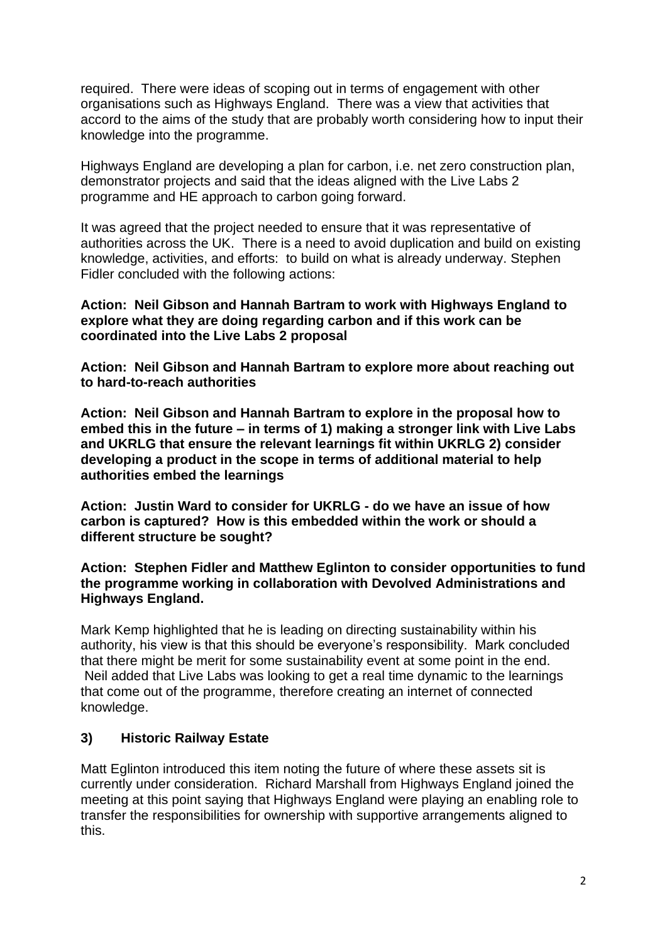required. There were ideas of scoping out in terms of engagement with other organisations such as Highways England. There was a view that activities that accord to the aims of the study that are probably worth considering how to input their knowledge into the programme.

Highways England are developing a plan for carbon, i.e. net zero construction plan, demonstrator projects and said that the ideas aligned with the Live Labs 2 programme and HE approach to carbon going forward.

It was agreed that the project needed to ensure that it was representative of authorities across the UK. There is a need to avoid duplication and build on existing knowledge, activities, and efforts: to build on what is already underway. Stephen Fidler concluded with the following actions:

#### **Action: Neil Gibson and Hannah Bartram to work with Highways England to explore what they are doing regarding carbon and if this work can be coordinated into the Live Labs 2 proposal**

**Action: Neil Gibson and Hannah Bartram to explore more about reaching out to hard-to-reach authorities**

**Action: Neil Gibson and Hannah Bartram to explore in the proposal how to embed this in the future – in terms of 1) making a stronger link with Live Labs and UKRLG that ensure the relevant learnings fit within UKRLG 2) consider developing a product in the scope in terms of additional material to help authorities embed the learnings**

**Action: Justin Ward to consider for UKRLG - do we have an issue of how carbon is captured? How is this embedded within the work or should a different structure be sought?**

#### **Action: Stephen Fidler and Matthew Eglinton to consider opportunities to fund the programme working in collaboration with Devolved Administrations and Highways England.**

Mark Kemp highlighted that he is leading on directing sustainability within his authority, his view is that this should be everyone's responsibility. Mark concluded that there might be merit for some sustainability event at some point in the end. Neil added that Live Labs was looking to get a real time dynamic to the learnings that come out of the programme, therefore creating an internet of connected knowledge.

## **3) Historic Railway Estate**

Matt Eglinton introduced this item noting the future of where these assets sit is currently under consideration. Richard Marshall from Highways England joined the meeting at this point saying that Highways England were playing an enabling role to transfer the responsibilities for ownership with supportive arrangements aligned to this.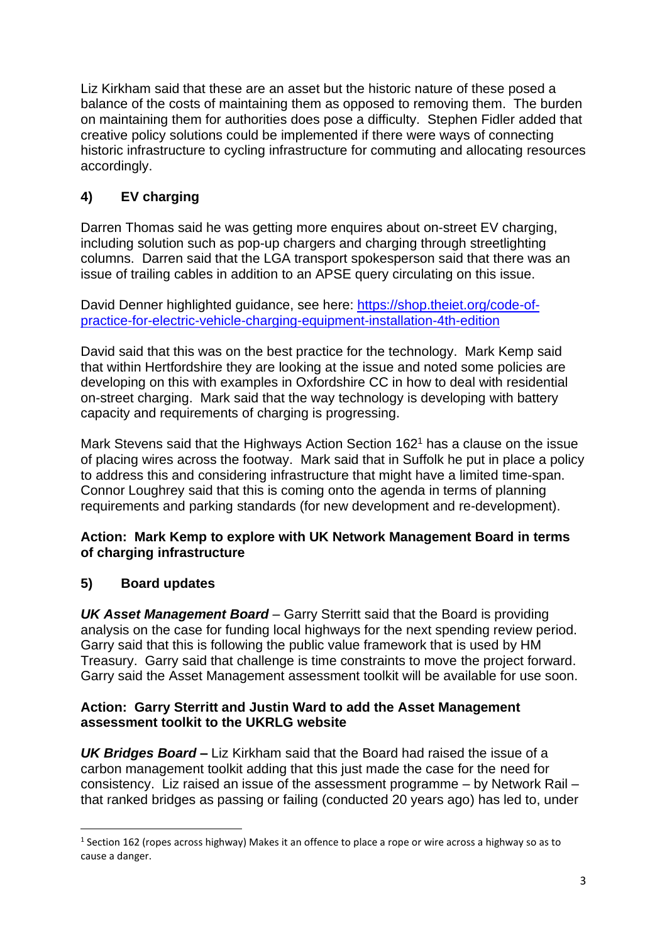Liz Kirkham said that these are an asset but the historic nature of these posed a balance of the costs of maintaining them as opposed to removing them. The burden on maintaining them for authorities does pose a difficulty. Stephen Fidler added that creative policy solutions could be implemented if there were ways of connecting historic infrastructure to cycling infrastructure for commuting and allocating resources accordingly.

# **4) EV charging**

Darren Thomas said he was getting more enquires about on-street EV charging, including solution such as pop-up chargers and charging through streetlighting columns. Darren said that the LGA transport spokesperson said that there was an issue of trailing cables in addition to an APSE query circulating on this issue.

David Denner highlighted guidance, see here: [https://shop.theiet.org/code-of](https://shop.theiet.org/code-of-practice-for-electric-vehicle-charging-equipment-installation-4th-edition)[practice-for-electric-vehicle-charging-equipment-installation-4th-edition](https://shop.theiet.org/code-of-practice-for-electric-vehicle-charging-equipment-installation-4th-edition)

David said that this was on the best practice for the technology. Mark Kemp said that within Hertfordshire they are looking at the issue and noted some policies are developing on this with examples in Oxfordshire CC in how to deal with residential on-street charging. Mark said that the way technology is developing with battery capacity and requirements of charging is progressing.

Mark Stevens said that the Highways Action Section 162<sup>1</sup> has a clause on the issue of placing wires across the footway. Mark said that in Suffolk he put in place a policy to address this and considering infrastructure that might have a limited time-span. Connor Loughrey said that this is coming onto the agenda in terms of planning requirements and parking standards (for new development and re-development).

#### **Action: Mark Kemp to explore with UK Network Management Board in terms of charging infrastructure**

## **5) Board updates**

*UK Asset Management Board* – Garry Sterritt said that the Board is providing analysis on the case for funding local highways for the next spending review period. Garry said that this is following the public value framework that is used by HM Treasury. Garry said that challenge is time constraints to move the project forward. Garry said the Asset Management assessment toolkit will be available for use soon.

#### **Action: Garry Sterritt and Justin Ward to add the Asset Management assessment toolkit to the UKRLG website**

*UK Bridges Board* **–** Liz Kirkham said that the Board had raised the issue of a carbon management toolkit adding that this just made the case for the need for consistency. Liz raised an issue of the assessment programme – by Network Rail – that ranked bridges as passing or failing (conducted 20 years ago) has led to, under

 $<sup>1</sup>$  Section 162 (ropes across highway) Makes it an offence to place a rope or wire across a highway so as to</sup> cause a danger.